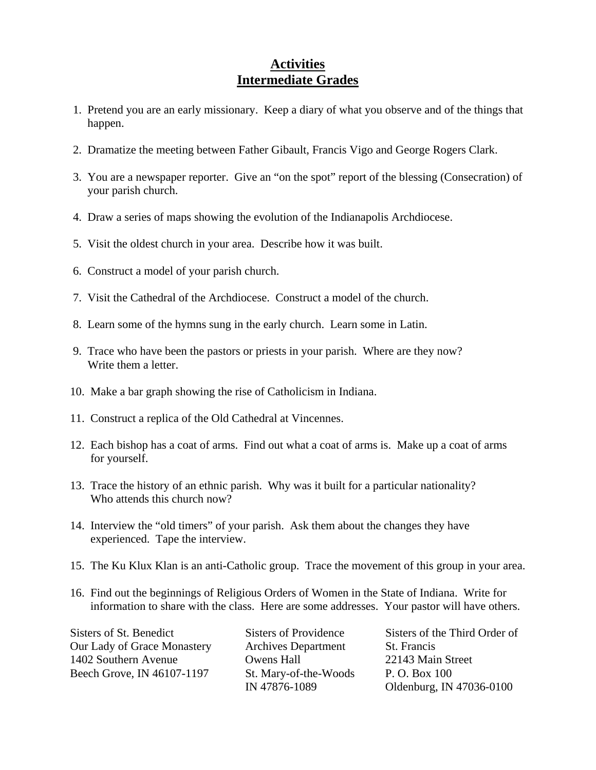## **Activities Intermediate Grades**

- 1. Pretend you are an early missionary. Keep a diary of what you observe and of the things that happen.
- 2. Dramatize the meeting between Father Gibault, Francis Vigo and George Rogers Clark.
- 3. You are a newspaper reporter. Give an "on the spot" report of the blessing (Consecration) of your parish church.
- 4. Draw a series of maps showing the evolution of the Indianapolis Archdiocese.
- 5. Visit the oldest church in your area. Describe how it was built.
- 6. Construct a model of your parish church.
- 7. Visit the Cathedral of the Archdiocese. Construct a model of the church.
- 8. Learn some of the hymns sung in the early church. Learn some in Latin.
- 9. Trace who have been the pastors or priests in your parish. Where are they now? Write them a letter.
- 10. Make a bar graph showing the rise of Catholicism in Indiana.
- 11. Construct a replica of the Old Cathedral at Vincennes.
- 12. Each bishop has a coat of arms. Find out what a coat of arms is. Make up a coat of arms for yourself.
- 13. Trace the history of an ethnic parish. Why was it built for a particular nationality? Who attends this church now?
- 14. Interview the "old timers" of your parish. Ask them about the changes they have experienced. Tape the interview.
- 15. The Ku Klux Klan is an anti-Catholic group. Trace the movement of this group in your area.
- 16. Find out the beginnings of Religious Orders of Women in the State of Indiana. Write for information to share with the class. Here are some addresses. Your pastor will have others.

Our Lady of Grace Monastery Archives Department St. Francis 1402 Southern Avenue Owens Hall 22143 Main Street Beech Grove, IN 46107-1197 St. Mary-of-the-Woods P. O. Box 100

Sisters of St. Benedict Sisters of Providence Sisters of the Third Order of IN 47876-1089 Oldenburg, IN 47036-0100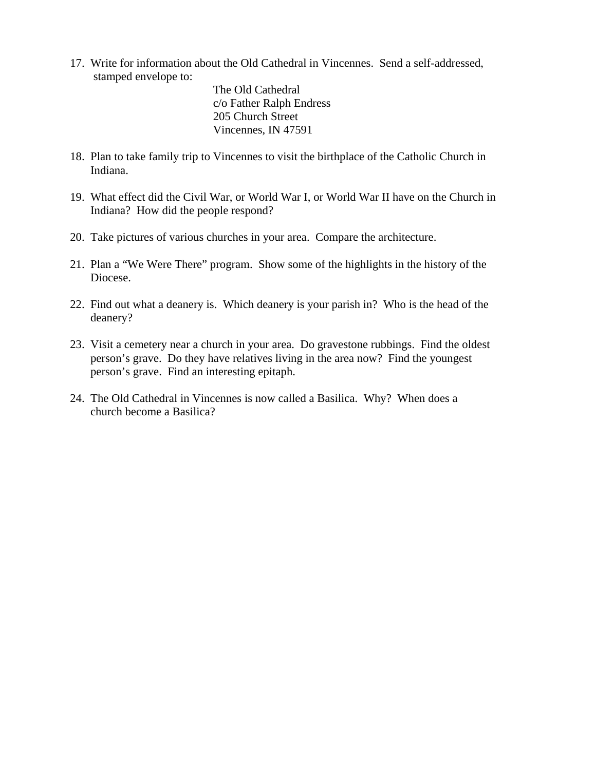17. Write for information about the Old Cathedral in Vincennes. Send a self-addressed, stamped envelope to:

> The Old Cathedral c/o Father Ralph Endress 205 Church Street Vincennes, IN 47591

- 18. Plan to take family trip to Vincennes to visit the birthplace of the Catholic Church in Indiana.
- 19. What effect did the Civil War, or World War I, or World War II have on the Church in Indiana? How did the people respond?
- 20. Take pictures of various churches in your area. Compare the architecture.
- 21. Plan a "We Were There" program. Show some of the highlights in the history of the Diocese.
- 22. Find out what a deanery is. Which deanery is your parish in? Who is the head of the deanery?
- 23. Visit a cemetery near a church in your area. Do gravestone rubbings. Find the oldest person's grave. Do they have relatives living in the area now? Find the youngest person's grave. Find an interesting epitaph.
- 24. The Old Cathedral in Vincennes is now called a Basilica. Why? When does a church become a Basilica?